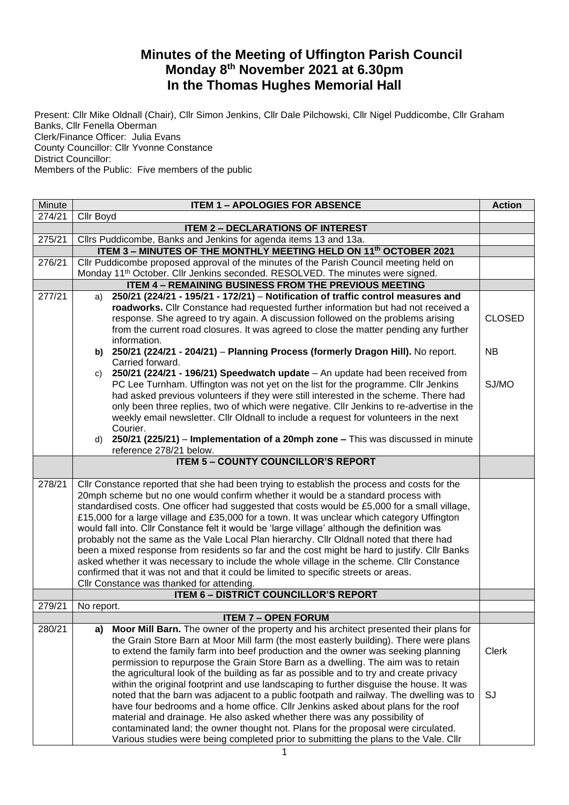## **Minutes of the Meeting of Uffington Parish Council Monday 8 th November 2021 at 6.30pm In the Thomas Hughes Memorial Hall**

Present: Cllr Mike Oldnall (Chair), Cllr Simon Jenkins, Cllr Dale Pilchowski, Cllr Nigel Puddicombe, Cllr Graham Banks, Cllr Fenella Oberman Clerk/Finance Officer: Julia Evans County Councillor: Cllr Yvonne Constance District Councillor: Members of the Public: Five members of the public

| Minute | <b>ITEM 1 - APOLOGIES FOR ABSENCE</b>                                                                                                                                                |               |  |  |  |  |
|--------|--------------------------------------------------------------------------------------------------------------------------------------------------------------------------------------|---------------|--|--|--|--|
| 274/21 | Cllr Boyd                                                                                                                                                                            |               |  |  |  |  |
|        | <b>ITEM 2 - DECLARATIONS OF INTEREST</b>                                                                                                                                             |               |  |  |  |  |
| 275/21 | Cllrs Puddicombe, Banks and Jenkins for agenda items 13 and 13a.                                                                                                                     |               |  |  |  |  |
|        | ITEM 3 - MINUTES OF THE MONTHLY MEETING HELD ON 11th OCTOBER 2021                                                                                                                    |               |  |  |  |  |
| 276/21 | Cllr Puddicombe proposed approval of the minutes of the Parish Council meeting held on                                                                                               |               |  |  |  |  |
|        | Monday 11 <sup>th</sup> October. Cllr Jenkins seconded. RESOLVED. The minutes were signed.                                                                                           |               |  |  |  |  |
|        | ITEM 4 - REMAINING BUSINESS FROM THE PREVIOUS MEETING                                                                                                                                |               |  |  |  |  |
| 277/21 | 250/21 (224/21 - 195/21 - 172/21) - Notification of traffic control measures and<br>a)                                                                                               |               |  |  |  |  |
|        | roadworks. Cllr Constance had requested further information but had not received a                                                                                                   |               |  |  |  |  |
|        | response. She agreed to try again. A discussion followed on the problems arising                                                                                                     | <b>CLOSED</b> |  |  |  |  |
|        | from the current road closures. It was agreed to close the matter pending any further                                                                                                |               |  |  |  |  |
|        | information.                                                                                                                                                                         |               |  |  |  |  |
|        | b) 250/21 (224/21 - 204/21) - Planning Process (formerly Dragon Hill). No report.                                                                                                    | <b>NB</b>     |  |  |  |  |
|        | Carried forward.                                                                                                                                                                     |               |  |  |  |  |
|        | c) $250/21$ (224/21 - 196/21) Speedwatch update $-$ An update had been received from                                                                                                 |               |  |  |  |  |
|        | PC Lee Turnham. Uffington was not yet on the list for the programme. Cllr Jenkins                                                                                                    | SJ/MO         |  |  |  |  |
|        | had asked previous volunteers if they were still interested in the scheme. There had<br>only been three replies, two of which were negative. Cllr Jenkins to re-advertise in the     |               |  |  |  |  |
|        | weekly email newsletter. Cllr Oldnall to include a request for volunteers in the next                                                                                                |               |  |  |  |  |
|        | Courier.                                                                                                                                                                             |               |  |  |  |  |
|        | d) 250/21 (225/21) – Implementation of a 20mph zone – This was discussed in minute                                                                                                   |               |  |  |  |  |
|        | reference 278/21 below.                                                                                                                                                              |               |  |  |  |  |
|        | <b>ITEM 5 - COUNTY COUNCILLOR'S REPORT</b>                                                                                                                                           |               |  |  |  |  |
|        |                                                                                                                                                                                      |               |  |  |  |  |
| 278/21 | Cllr Constance reported that she had been trying to establish the process and costs for the                                                                                          |               |  |  |  |  |
|        | 20mph scheme but no one would confirm whether it would be a standard process with                                                                                                    |               |  |  |  |  |
|        | standardised costs. One officer had suggested that costs would be £5,000 for a small village,                                                                                        |               |  |  |  |  |
|        | £15,000 for a large village and £35,000 for a town. It was unclear which category Uffington                                                                                          |               |  |  |  |  |
|        | would fall into. Cllr Constance felt it would be 'large village' although the definition was                                                                                         |               |  |  |  |  |
|        | probably not the same as the Vale Local Plan hierarchy. Cllr Oldnall noted that there had                                                                                            |               |  |  |  |  |
|        | been a mixed response from residents so far and the cost might be hard to justify. Cllr Banks                                                                                        |               |  |  |  |  |
|        | asked whether it was necessary to include the whole village in the scheme. Cllr Constance                                                                                            |               |  |  |  |  |
|        | confirmed that it was not and that it could be limited to specific streets or areas.                                                                                                 |               |  |  |  |  |
|        | Cllr Constance was thanked for attending.                                                                                                                                            |               |  |  |  |  |
|        | <b>ITEM 6 - DISTRICT COUNCILLOR'S REPORT</b>                                                                                                                                         |               |  |  |  |  |
| 279/21 | No report.                                                                                                                                                                           |               |  |  |  |  |
|        | <b>ITEM 7 - OPEN FORUM</b>                                                                                                                                                           |               |  |  |  |  |
| 280/21 | Moor Mill Barn. The owner of the property and his architect presented their plans for<br>a)<br>the Grain Store Barn at Moor Mill farm (the most easterly building). There were plans |               |  |  |  |  |
|        | to extend the family farm into beef production and the owner was seeking planning                                                                                                    | <b>Clerk</b>  |  |  |  |  |
|        | permission to repurpose the Grain Store Barn as a dwelling. The aim was to retain                                                                                                    |               |  |  |  |  |
|        | the agricultural look of the building as far as possible and to try and create privacy                                                                                               |               |  |  |  |  |
|        | within the original footprint and use landscaping to further disguise the house. It was                                                                                              |               |  |  |  |  |
|        | noted that the barn was adjacent to a public footpath and railway. The dwelling was to                                                                                               | SJ            |  |  |  |  |
|        | have four bedrooms and a home office. Cllr Jenkins asked about plans for the roof                                                                                                    |               |  |  |  |  |
|        | material and drainage. He also asked whether there was any possibility of                                                                                                            |               |  |  |  |  |
|        | contaminated land; the owner thought not. Plans for the proposal were circulated.                                                                                                    |               |  |  |  |  |
|        | Various studies were being completed prior to submitting the plans to the Vale. Cllr                                                                                                 |               |  |  |  |  |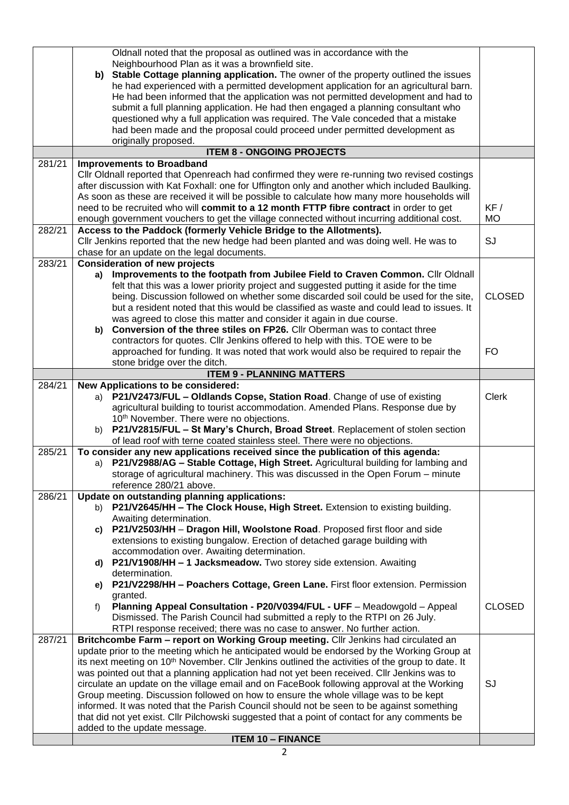|        | Oldnall noted that the proposal as outlined was in accordance with the                                                                                                                         |               |  |  |  |
|--------|------------------------------------------------------------------------------------------------------------------------------------------------------------------------------------------------|---------------|--|--|--|
|        | Neighbourhood Plan as it was a brownfield site.                                                                                                                                                |               |  |  |  |
|        | b) Stable Cottage planning application. The owner of the property outlined the issues                                                                                                          |               |  |  |  |
|        | he had experienced with a permitted development application for an agricultural barn.                                                                                                          |               |  |  |  |
|        | He had been informed that the application was not permitted development and had to                                                                                                             |               |  |  |  |
|        | submit a full planning application. He had then engaged a planning consultant who                                                                                                              |               |  |  |  |
|        | questioned why a full application was required. The Vale conceded that a mistake                                                                                                               |               |  |  |  |
|        | had been made and the proposal could proceed under permitted development as                                                                                                                    |               |  |  |  |
|        | originally proposed.                                                                                                                                                                           |               |  |  |  |
| 281/21 | <b>ITEM 8 - ONGOING PROJECTS</b>                                                                                                                                                               |               |  |  |  |
|        | <b>Improvements to Broadband</b>                                                                                                                                                               |               |  |  |  |
|        | Cllr Oldnall reported that Openreach had confirmed they were re-running two revised costings<br>after discussion with Kat Foxhall: one for Uffington only and another which included Baulking. |               |  |  |  |
|        | As soon as these are received it will be possible to calculate how many more households will                                                                                                   |               |  |  |  |
|        | need to be recruited who will commit to a 12 month FTTP fibre contract in order to get                                                                                                         | KF /          |  |  |  |
|        | enough government vouchers to get the village connected without incurring additional cost.                                                                                                     | <b>MO</b>     |  |  |  |
| 282/21 | Access to the Paddock (formerly Vehicle Bridge to the Allotments).                                                                                                                             |               |  |  |  |
|        | CIIr Jenkins reported that the new hedge had been planted and was doing well. He was to                                                                                                        | SJ            |  |  |  |
|        | chase for an update on the legal documents.                                                                                                                                                    |               |  |  |  |
| 283/21 | <b>Consideration of new projects</b>                                                                                                                                                           |               |  |  |  |
|        | a) Improvements to the footpath from Jubilee Field to Craven Common. Cllr Oldnall                                                                                                              |               |  |  |  |
|        | felt that this was a lower priority project and suggested putting it aside for the time                                                                                                        |               |  |  |  |
|        | being. Discussion followed on whether some discarded soil could be used for the site,                                                                                                          | <b>CLOSED</b> |  |  |  |
|        | but a resident noted that this would be classified as waste and could lead to issues. It                                                                                                       |               |  |  |  |
|        | was agreed to close this matter and consider it again in due course.                                                                                                                           |               |  |  |  |
|        | Conversion of the three stiles on FP26. Cllr Oberman was to contact three<br>b)                                                                                                                |               |  |  |  |
|        | contractors for quotes. Cllr Jenkins offered to help with this. TOE were to be<br>approached for funding. It was noted that work would also be required to repair the                          | <b>FO</b>     |  |  |  |
|        | stone bridge over the ditch.                                                                                                                                                                   |               |  |  |  |
|        | <b>ITEM 9 - PLANNING MATTERS</b>                                                                                                                                                               |               |  |  |  |
| 284/21 | <b>New Applications to be considered:</b>                                                                                                                                                      |               |  |  |  |
|        | a) P21/V2473/FUL - Oldlands Copse, Station Road. Change of use of existing                                                                                                                     | <b>Clerk</b>  |  |  |  |
|        |                                                                                                                                                                                                |               |  |  |  |
|        | agricultural building to tourist accommodation. Amended Plans. Response due by                                                                                                                 |               |  |  |  |
|        | 10th November. There were no objections.                                                                                                                                                       |               |  |  |  |
|        | P21/V2815/FUL - St Mary's Church, Broad Street. Replacement of stolen section<br>b)                                                                                                            |               |  |  |  |
|        | of lead roof with terne coated stainless steel. There were no objections.                                                                                                                      |               |  |  |  |
| 285/21 | To consider any new applications received since the publication of this agenda:                                                                                                                |               |  |  |  |
|        | a) P21/V2988/AG - Stable Cottage, High Street. Agricultural building for lambing and                                                                                                           |               |  |  |  |
|        | storage of agricultural machinery. This was discussed in the Open Forum - minute                                                                                                               |               |  |  |  |
| 286/21 | reference 280/21 above.<br>Update on outstanding planning applications:                                                                                                                        |               |  |  |  |
|        | b) P21/V2645/HH - The Clock House, High Street. Extension to existing building.                                                                                                                |               |  |  |  |
|        | Awaiting determination.                                                                                                                                                                        |               |  |  |  |
|        | P21/V2503/HH - Dragon Hill, Woolstone Road. Proposed first floor and side<br>c)                                                                                                                |               |  |  |  |
|        | extensions to existing bungalow. Erection of detached garage building with                                                                                                                     |               |  |  |  |
|        | accommodation over. Awaiting determination.                                                                                                                                                    |               |  |  |  |
|        | P21/V1908/HH - 1 Jacksmeadow. Two storey side extension. Awaiting<br>d)                                                                                                                        |               |  |  |  |
|        | determination.                                                                                                                                                                                 |               |  |  |  |
|        | P21/V2298/HH - Poachers Cottage, Green Lane. First floor extension. Permission<br>e).                                                                                                          |               |  |  |  |
|        | granted.<br>Planning Appeal Consultation - P20/V0394/FUL - UFF - Meadowgold - Appeal<br>f)                                                                                                     | <b>CLOSED</b> |  |  |  |
|        | Dismissed. The Parish Council had submitted a reply to the RTPI on 26 July.                                                                                                                    |               |  |  |  |
|        | RTPI response received; there was no case to answer. No further action.                                                                                                                        |               |  |  |  |
| 287/21 | Britchcombe Farm - report on Working Group meeting. Cllr Jenkins had circulated an                                                                                                             |               |  |  |  |
|        | update prior to the meeting which he anticipated would be endorsed by the Working Group at                                                                                                     |               |  |  |  |
|        | its next meeting on 10 <sup>th</sup> November. Cllr Jenkins outlined the activities of the group to date. It                                                                                   |               |  |  |  |
|        | was pointed out that a planning application had not yet been received. Cllr Jenkins was to                                                                                                     |               |  |  |  |
|        | circulate an update on the village email and on FaceBook following approval at the Working                                                                                                     | SJ            |  |  |  |
|        | Group meeting. Discussion followed on how to ensure the whole village was to be kept                                                                                                           |               |  |  |  |
|        | informed. It was noted that the Parish Council should not be seen to be against something                                                                                                      |               |  |  |  |
|        | that did not yet exist. Cllr Pilchowski suggested that a point of contact for any comments be                                                                                                  |               |  |  |  |
|        | added to the update message.<br><b>ITEM 10 - FINANCE</b>                                                                                                                                       |               |  |  |  |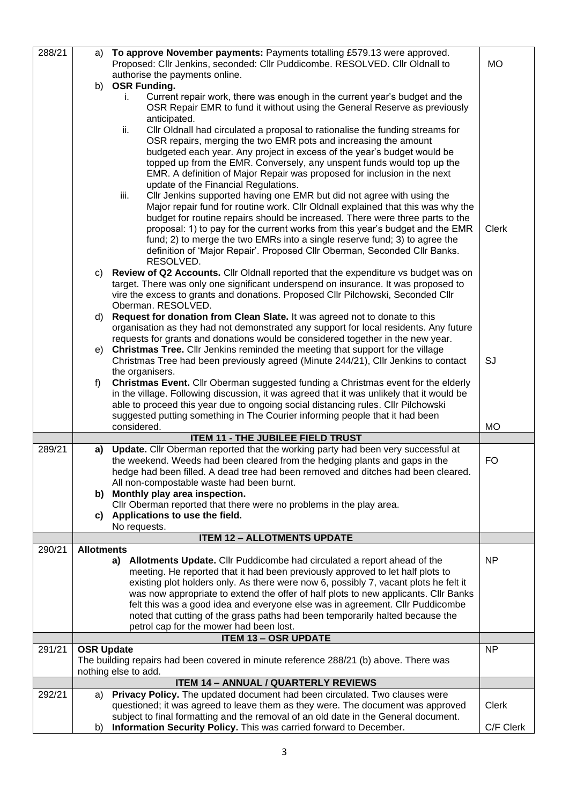| 288/21 | a)                                                                                    | To approve November payments: Payments totalling £579.13 were approved.                                                                                                |              |  |  |  |
|--------|---------------------------------------------------------------------------------------|------------------------------------------------------------------------------------------------------------------------------------------------------------------------|--------------|--|--|--|
|        |                                                                                       | Proposed: Cllr Jenkins, seconded: Cllr Puddicombe. RESOLVED. Cllr Oldnall to                                                                                           | <b>MO</b>    |  |  |  |
|        |                                                                                       | authorise the payments online.                                                                                                                                         |              |  |  |  |
|        |                                                                                       | b) OSR Funding.                                                                                                                                                        |              |  |  |  |
|        |                                                                                       | Current repair work, there was enough in the current year's budget and the<br>İ.                                                                                       |              |  |  |  |
|        |                                                                                       | OSR Repair EMR to fund it without using the General Reserve as previously                                                                                              |              |  |  |  |
|        |                                                                                       | anticipated.                                                                                                                                                           |              |  |  |  |
|        |                                                                                       | ii.<br>CIIr Oldnall had circulated a proposal to rationalise the funding streams for                                                                                   |              |  |  |  |
|        |                                                                                       | OSR repairs, merging the two EMR pots and increasing the amount                                                                                                        |              |  |  |  |
|        |                                                                                       | budgeted each year. Any project in excess of the year's budget would be                                                                                                |              |  |  |  |
|        |                                                                                       | topped up from the EMR. Conversely, any unspent funds would top up the                                                                                                 |              |  |  |  |
|        |                                                                                       | EMR. A definition of Major Repair was proposed for inclusion in the next                                                                                               |              |  |  |  |
|        |                                                                                       | update of the Financial Regulations.                                                                                                                                   |              |  |  |  |
|        |                                                                                       | iii.<br>Cllr Jenkins supported having one EMR but did not agree with using the                                                                                         |              |  |  |  |
|        |                                                                                       | Major repair fund for routine work. Cllr Oldnall explained that this was why the<br>budget for routine repairs should be increased. There were three parts to the      |              |  |  |  |
|        |                                                                                       | proposal: 1) to pay for the current works from this year's budget and the EMR                                                                                          | <b>Clerk</b> |  |  |  |
|        |                                                                                       | fund; 2) to merge the two EMRs into a single reserve fund; 3) to agree the                                                                                             |              |  |  |  |
|        |                                                                                       | definition of 'Major Repair'. Proposed Cllr Oberman, Seconded Cllr Banks.                                                                                              |              |  |  |  |
|        |                                                                                       | RESOLVED.                                                                                                                                                              |              |  |  |  |
|        | C)                                                                                    | Review of Q2 Accounts. Cllr Oldnall reported that the expenditure vs budget was on                                                                                     |              |  |  |  |
|        |                                                                                       | target. There was only one significant underspend on insurance. It was proposed to                                                                                     |              |  |  |  |
|        |                                                                                       | vire the excess to grants and donations. Proposed Cllr Pilchowski, Seconded Cllr                                                                                       |              |  |  |  |
|        |                                                                                       | Oberman. RESOLVED.                                                                                                                                                     |              |  |  |  |
|        | d)                                                                                    | Request for donation from Clean Slate. It was agreed not to donate to this                                                                                             |              |  |  |  |
|        |                                                                                       | organisation as they had not demonstrated any support for local residents. Any future                                                                                  |              |  |  |  |
|        |                                                                                       | requests for grants and donations would be considered together in the new year.                                                                                        |              |  |  |  |
|        | e)                                                                                    | Christmas Tree. Cllr Jenkins reminded the meeting that support for the village                                                                                         |              |  |  |  |
|        |                                                                                       | Christmas Tree had been previously agreed (Minute 244/21), Cllr Jenkins to contact                                                                                     | SJ           |  |  |  |
|        |                                                                                       | the organisers.                                                                                                                                                        |              |  |  |  |
|        | f)                                                                                    | <b>Christmas Event.</b> Cllr Oberman suggested funding a Christmas event for the elderly                                                                               |              |  |  |  |
|        |                                                                                       | in the village. Following discussion, it was agreed that it was unlikely that it would be                                                                              |              |  |  |  |
|        |                                                                                       | able to proceed this year due to ongoing social distancing rules. Cllr Pilchowski                                                                                      |              |  |  |  |
|        |                                                                                       | suggested putting something in The Courier informing people that it had been<br>considered.                                                                            | <b>MO</b>    |  |  |  |
|        |                                                                                       | <b>ITEM 11 - THE JUBILEE FIELD TRUST</b>                                                                                                                               |              |  |  |  |
| 289/21 | a)                                                                                    | Update. Cllr Oberman reported that the working party had been very successful at                                                                                       |              |  |  |  |
|        |                                                                                       | the weekend. Weeds had been cleared from the hedging plants and gaps in the                                                                                            | <b>FO</b>    |  |  |  |
|        |                                                                                       | hedge had been filled. A dead tree had been removed and ditches had been cleared.                                                                                      |              |  |  |  |
|        |                                                                                       | All non-compostable waste had been burnt.                                                                                                                              |              |  |  |  |
|        |                                                                                       | b) Monthly play area inspection.                                                                                                                                       |              |  |  |  |
|        |                                                                                       | Cllr Oberman reported that there were no problems in the play area.                                                                                                    |              |  |  |  |
|        | C)                                                                                    | Applications to use the field.                                                                                                                                         |              |  |  |  |
|        |                                                                                       | No requests.                                                                                                                                                           |              |  |  |  |
|        |                                                                                       | <b>ITEM 12 - ALLOTMENTS UPDATE</b>                                                                                                                                     |              |  |  |  |
| 290/21 | <b>Allotments</b>                                                                     |                                                                                                                                                                        |              |  |  |  |
|        |                                                                                       | a) Allotments Update. Cllr Puddicombe had circulated a report ahead of the                                                                                             | <b>NP</b>    |  |  |  |
|        |                                                                                       | meeting. He reported that it had been previously approved to let half plots to<br>existing plot holders only. As there were now 6, possibly 7, vacant plots he felt it |              |  |  |  |
|        |                                                                                       | was now appropriate to extend the offer of half plots to new applicants. Cllr Banks                                                                                    |              |  |  |  |
|        |                                                                                       | felt this was a good idea and everyone else was in agreement. Cllr Puddicombe                                                                                          |              |  |  |  |
|        |                                                                                       | noted that cutting of the grass paths had been temporarily halted because the                                                                                          |              |  |  |  |
|        |                                                                                       | petrol cap for the mower had been lost.                                                                                                                                |              |  |  |  |
|        |                                                                                       | <b>ITEM 13 - OSR UPDATE</b>                                                                                                                                            |              |  |  |  |
| 291/21 | <b>OSR Update</b>                                                                     |                                                                                                                                                                        | NP           |  |  |  |
|        | The building repairs had been covered in minute reference 288/21 (b) above. There was |                                                                                                                                                                        |              |  |  |  |
|        | nothing else to add.                                                                  |                                                                                                                                                                        |              |  |  |  |
|        |                                                                                       |                                                                                                                                                                        |              |  |  |  |
|        |                                                                                       | <b>ITEM 14 - ANNUAL / QUARTERLY REVIEWS</b>                                                                                                                            |              |  |  |  |
| 292/21 | a)                                                                                    | Privacy Policy. The updated document had been circulated. Two clauses were                                                                                             |              |  |  |  |
|        |                                                                                       | questioned; it was agreed to leave them as they were. The document was approved                                                                                        | <b>Clerk</b> |  |  |  |
|        | b)                                                                                    | subject to final formatting and the removal of an old date in the General document.<br>Information Security Policy. This was carried forward to December.              | C/F Clerk    |  |  |  |